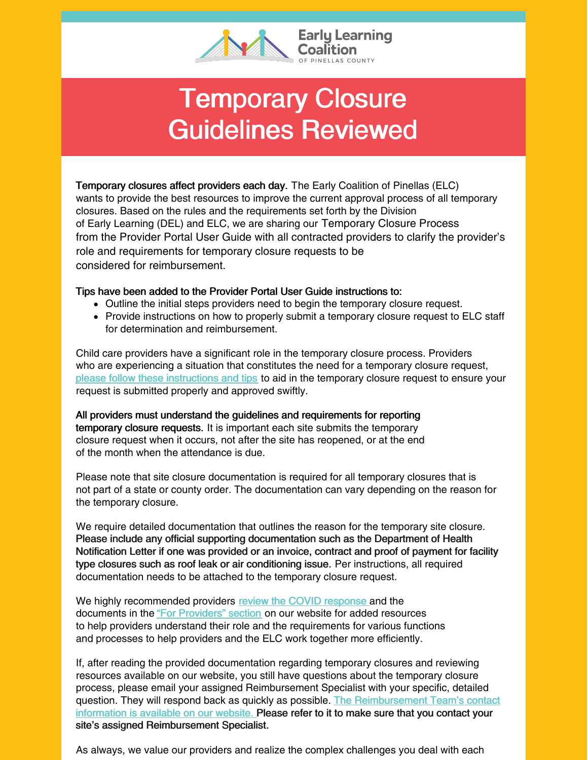

## Temporary Closure Guidelines Reviewed

Temporary closures affect providers each day. The Early Coalition of Pinellas (ELC) wants to provide the best resources to improve the current approval process of all temporary closures. Based on the rules and the requirements set forth by the Division of Early Learning (DEL) and ELC, we are sharing our Temporary Closure Process from the Provider Portal User Guide with all contracted providers to clarify the provider's role and requirements for temporary closure requests to be considered for reimbursement.

## Tips have been added to the Provider Portal User Guide instructions to:

- Outline the initial steps providers need to begin the temporary closure request.
- Provide instructions on how to properly submit a temporary closure request to ELC staff for determination and reimbursement.

Child care providers have a significant role in the temporary closure process. Providers who are experiencing a situation that constitutes the need for a temporary closure request, please follow these [instructions](https://files.constantcontact.com/a59e861e101/65f5fb27-5616-4da5-9f48-e3983a6e7acf.pdf?rdr=true) and tips to aid in the temporary closure request to ensure your request is submitted properly and approved swiftly.

All providers must understand the guidelines and requirements for reporting temporary closure requests. It is important each site submits the temporary closure request when it occurs, not after the site has reopened, or at the end of the month when the attendance is due.

Please note that site closure documentation is required for all temporary closures that is not part of a state or county order. The documentation can vary depending on the reason for the temporary closure.

We require detailed documentation that outlines the reason for the temporary site closure. Please include any official supporting documentation such as the Department of Health Notification Letter if one was provided or an invoice, contract and proof of payment for facility type closures such as roof leak or air conditioning issue. Per instructions, all required documentation needs to be attached to the temporary closure request.

We highly recommended providers review the COVID [response](https://elcpinellas.net/covid-19/) and the documents in the "For [Providers"](https://elcpinellas.net/for-providers/) section on our website for added resources to help providers understand their role and the requirements for various functions and processes to help providers and the ELC work together more efficiently.

If, after reading the provided documentation regarding temporary closures and reviewing resources available on our website, you still have questions about the temporary closure process, please email your assigned Reimbursement Specialist with your specific, detailed question. They will respond back as quickly as possible. The [Reimbursement](https://elcpinellas.net/contact/) Team's contact information is available on our website. Please refer to it to make sure that you contact your site's assigned Reimbursement Specialist.

As always, we value our providers and realize the complex challenges you deal with each